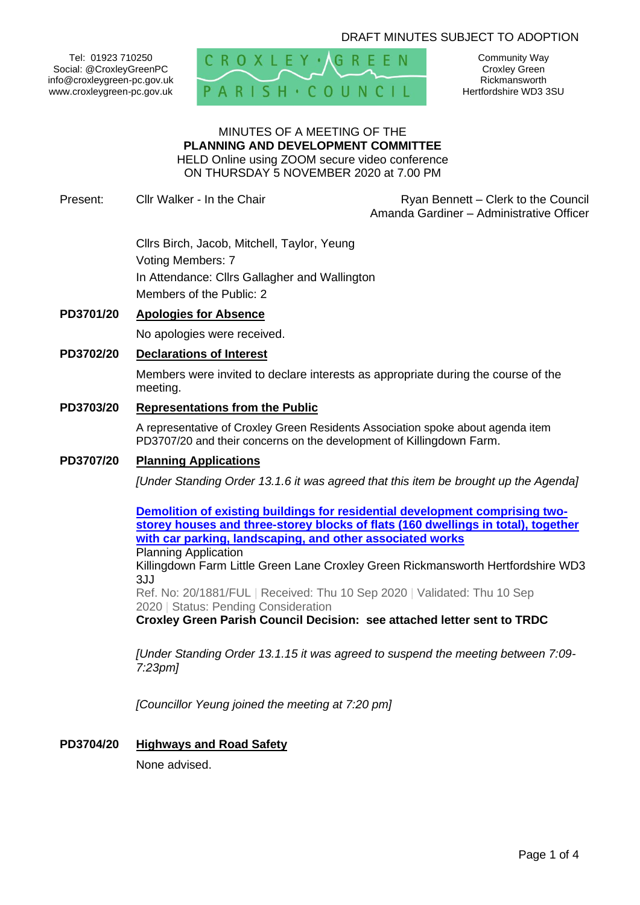# DRAFT MINUTES SUBJECT TO ADOPTION

Tel: 01923 710250 Social: @CroxleyGreenPC info@croxleygreen-pc.gov.uk www.croxleygreen-pc.gov.uk



Community Way Croxley Green Rickmansworth Hertfordshire WD3 3SU

# MINUTES OF A MEETING OF THE **PLANNING AND DEVELOPMENT COMMITTEE** HELD Online using ZOOM secure video conference

ON THURSDAY 5 NOVEMBER 2020 at 7.00 PM

Present: Cllr Walker - In the Chair **Ryan Bennett** – Clerk to the Council Amanda Gardiner – Administrative Officer

> Cllrs Birch, Jacob, Mitchell, Taylor, Yeung Voting Members: 7 In Attendance: Cllrs Gallagher and Wallington Members of the Public: 2

# **PD3701/20 Apologies for Absence**

No apologies were received.

# **PD3702/20 Declarations of Interest**

Members were invited to declare interests as appropriate during the course of the meeting.

#### **PD3703/20 Representations from the Public**

A representative of Croxley Green Residents Association spoke about agenda item PD3707/20 and their concerns on the development of Killingdown Farm.

# **PD3707/20 Planning Applications**

*[Under Standing Order 13.1.6 it was agreed that this item be brought up the Agenda]*

**[Demolition of existing buildings for residential development comprising two](https://www3.threerivers.gov.uk/online-applications/applicationDetails.do?activeTab=summary&keyVal=QGG2ZQQF0D100&prevPage=inTray)[storey houses and three-storey blocks of flats \(160 dwellings in total\), together](https://www3.threerivers.gov.uk/online-applications/applicationDetails.do?activeTab=summary&keyVal=QGG2ZQQF0D100&prevPage=inTray)  [with car parking, landscaping, and other associated works](https://www3.threerivers.gov.uk/online-applications/applicationDetails.do?activeTab=summary&keyVal=QGG2ZQQF0D100&prevPage=inTray)** Planning Application Killingdown Farm Little Green Lane Croxley Green Rickmansworth Hertfordshire WD3 3JJ Ref. No: 20/1881/FUL | Received: Thu 10 Sep 2020 | Validated: Thu 10 Sep 2020 | Status: Pending Consideration **Croxley Green Parish Council Decision: see attached letter sent to TRDC**

*[Under Standing Order 13.1.15 it was agreed to suspend the meeting between 7:09- 7:23pm]*

*[Councillor Yeung joined the meeting at 7:20 pm]*

#### **PD3704/20 Highways and Road Safety**

None advised.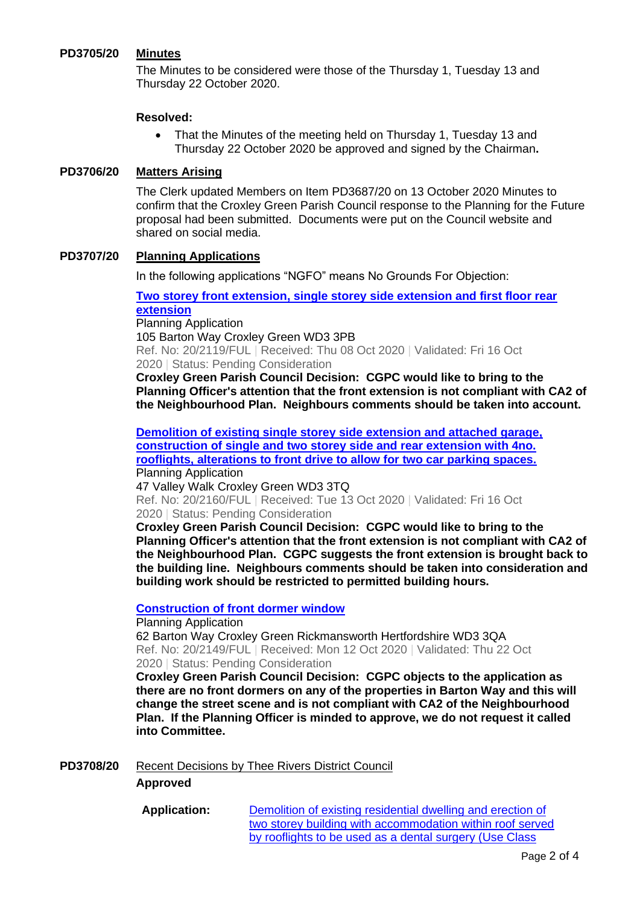# **PD3705/20 Minutes**

The Minutes to be considered were those of the Thursday 1, Tuesday 13 and Thursday 22 October 2020.

#### **Resolved:**

• That the Minutes of the meeting held on Thursday 1, Tuesday 13 and Thursday 22 October 2020 be approved and signed by the Chairman**.**

### **PD3706/20 Matters Arising**

The Clerk updated Members on Item PD3687/20 on 13 October 2020 Minutes to confirm that the Croxley Green Parish Council response to the Planning for the Future proposal had been submitted. Documents were put on the Council website and shared on social media.

### **PD3707/20 Planning Applications**

In the following applications "NGFO" means No Grounds For Objection:

# **[Two storey front extension, single storey side extension and first floor rear](https://www3.threerivers.gov.uk/online-applications/applicationDetails.do?activeTab=summary&keyVal=QHVFRSQFKRV00&prevPage=inTray)  [extension](https://www3.threerivers.gov.uk/online-applications/applicationDetails.do?activeTab=summary&keyVal=QHVFRSQFKRV00&prevPage=inTray)**

Planning Application 105 Barton Way Croxley Green WD3 3PB Ref. No: 20/2119/FUL | Received: Thu 08 Oct 2020 | Validated: Fri 16 Oct 2020 | Status: Pending Consideration

**Croxley Green Parish Council Decision: CGPC would like to bring to the Planning Officer's attention that the front extension is not compliant with CA2 of the Neighbourhood Plan. Neighbours comments should be taken into account.**

**[Demolition of existing single storey side extension and attached garage,](https://www3.threerivers.gov.uk/online-applications/applicationDetails.do?activeTab=summary&keyVal=QI4OTOQFKTS00&prevPage=inTray)  [construction of single and two storey side and rear extension with 4no.](https://www3.threerivers.gov.uk/online-applications/applicationDetails.do?activeTab=summary&keyVal=QI4OTOQFKTS00&prevPage=inTray)  [rooflights, alterations to front drive to allow for two car parking spaces.](https://www3.threerivers.gov.uk/online-applications/applicationDetails.do?activeTab=summary&keyVal=QI4OTOQFKTS00&prevPage=inTray)** Planning Application

47 Valley Walk Croxley Green WD3 3TQ Ref. No: 20/2160/FUL | Received: Tue 13 Oct 2020 | Validated: Fri 16 Oct 2020 | Status: Pending Consideration

**Croxley Green Parish Council Decision: CGPC would like to bring to the Planning Officer's attention that the front extension is not compliant with CA2 of the Neighbourhood Plan. CGPC suggests the front extension is brought back to the building line. Neighbours comments should be taken into consideration and building work should be restricted to permitted building hours.**

### **[Construction of front dormer window](https://www3.threerivers.gov.uk/online-applications/applicationDetails.do?activeTab=summary&keyVal=QI2XLAQF0D100&prevPage=inTray)**

Planning Application 62 Barton Way Croxley Green Rickmansworth Hertfordshire WD3 3QA Ref. No: 20/2149/FUL | Received: Mon 12 Oct 2020 | Validated: Thu 22 Oct 2020 | Status: Pending Consideration

**Croxley Green Parish Council Decision: CGPC objects to the application as there are no front dormers on any of the properties in Barton Way and this will change the street scene and is not compliant with CA2 of the Neighbourhood Plan. If the Planning Officer is minded to approve, we do not request it called into Committee.**

# **PD3708/20** Recent Decisions by Thee Rivers District Council

### **Approved**

**Application:** [Demolition of existing residential dwelling and erection of](https://www3.threerivers.gov.uk/online-applications/applicationDetails.do?activeTab=summary&keyVal=QEC9WMQF0CA00&prevPage=inTray)  [two storey building with accommodation within roof served](https://www3.threerivers.gov.uk/online-applications/applicationDetails.do?activeTab=summary&keyVal=QEC9WMQF0CA00&prevPage=inTray)  [by rooflights to be used as a dental surgery \(Use Class](https://www3.threerivers.gov.uk/online-applications/applicationDetails.do?activeTab=summary&keyVal=QEC9WMQF0CA00&prevPage=inTray)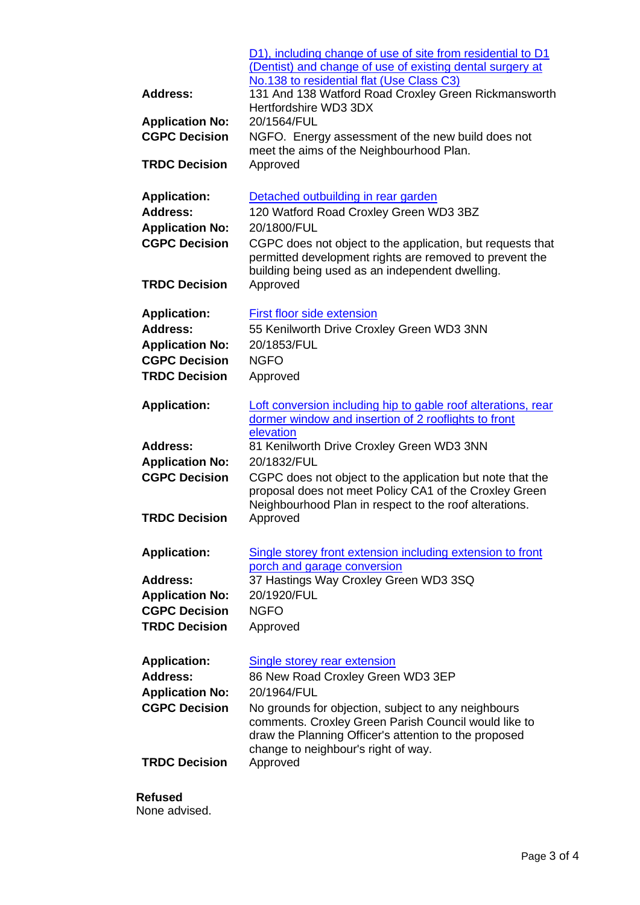|                                                                                                                  | D1), including change of use of site from residential to D1<br>(Dentist) and change of use of existing dental surgery at<br>No.138 to residential flat (Use Class C3)                                                                                                                                  |  |
|------------------------------------------------------------------------------------------------------------------|--------------------------------------------------------------------------------------------------------------------------------------------------------------------------------------------------------------------------------------------------------------------------------------------------------|--|
| <b>Address:</b>                                                                                                  | 131 And 138 Watford Road Croxley Green Rickmansworth<br>Hertfordshire WD3 3DX                                                                                                                                                                                                                          |  |
| <b>Application No:</b><br><b>CGPC Decision</b>                                                                   | 20/1564/FUL<br>NGFO. Energy assessment of the new build does not<br>meet the aims of the Neighbourhood Plan.                                                                                                                                                                                           |  |
| <b>TRDC Decision</b>                                                                                             | Approved                                                                                                                                                                                                                                                                                               |  |
| <b>Application:</b><br>Address:                                                                                  | Detached outbuilding in rear garden<br>120 Watford Road Croxley Green WD3 3BZ                                                                                                                                                                                                                          |  |
| <b>Application No:</b><br><b>CGPC Decision</b>                                                                   | 20/1800/FUL<br>CGPC does not object to the application, but requests that<br>permitted development rights are removed to prevent the<br>building being used as an independent dwelling.                                                                                                                |  |
| <b>TRDC Decision</b>                                                                                             | Approved                                                                                                                                                                                                                                                                                               |  |
| <b>Application:</b><br>Address:<br><b>Application No:</b><br><b>CGPC Decision</b><br><b>TRDC Decision</b>        | First floor side extension<br>55 Kenilworth Drive Croxley Green WD3 3NN<br>20/1853/FUL<br><b>NGFO</b><br>Approved                                                                                                                                                                                      |  |
| <b>Application:</b>                                                                                              | Loft conversion including hip to gable roof alterations, rear<br>dormer window and insertion of 2 rooflights to front                                                                                                                                                                                  |  |
| <b>Address:</b><br><b>Application No:</b><br><b>CGPC Decision</b>                                                | elevation<br>81 Kenilworth Drive Croxley Green WD3 3NN<br>20/1832/FUL<br>CGPC does not object to the application but note that the<br>proposal does not meet Policy CA1 of the Croxley Green<br>Neighbourhood Plan in respect to the roof alterations.                                                 |  |
| <b>TRDC Decision</b>                                                                                             | Approved                                                                                                                                                                                                                                                                                               |  |
| <b>Application:</b><br><b>Address:</b><br><b>Application No:</b><br><b>CGPC Decision</b><br><b>TRDC Decision</b> | Single storey front extension including extension to front<br>porch and garage conversion<br>37 Hastings Way Croxley Green WD3 3SQ<br>20/1920/FUL<br><b>NGFO</b><br>Approved                                                                                                                           |  |
|                                                                                                                  |                                                                                                                                                                                                                                                                                                        |  |
| <b>Application:</b><br>Address:<br><b>Application No:</b><br><b>CGPC Decision</b>                                | <b>Single storey rear extension</b><br>86 New Road Croxley Green WD3 3EP<br>20/1964/FUL<br>No grounds for objection, subject to any neighbours<br>comments. Croxley Green Parish Council would like to<br>draw the Planning Officer's attention to the proposed<br>change to neighbour's right of way. |  |
| <b>TRDC Decision</b>                                                                                             | Approved                                                                                                                                                                                                                                                                                               |  |
|                                                                                                                  |                                                                                                                                                                                                                                                                                                        |  |

# **Refused**

None advised.